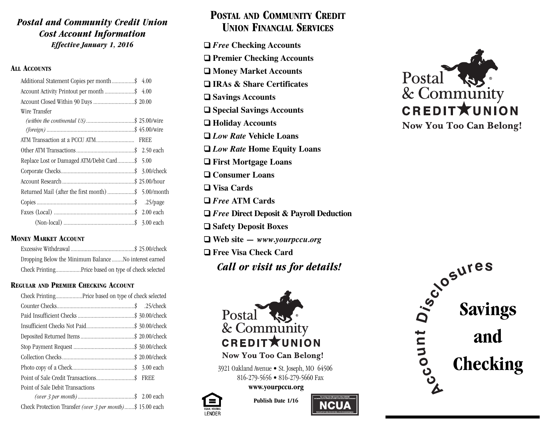### *Postal and Community Credit Union Cost Account Information Effective January 1, 2016*

### **ALL ACCOUNTS**

| Additional Statement Copies per month\$ 4.00        |
|-----------------------------------------------------|
| Account Activity Printout per month \$ 4.00         |
| Account Closed Within 90 Days  \$ 20.00             |
|                                                     |
| (within the continental US)\$ 25.00/wire            |
|                                                     |
|                                                     |
|                                                     |
| Replace Lost or Damaged ATM/Debit Card\$ 5.00       |
|                                                     |
|                                                     |
| Returned Mail (after the first month) \$ 5.00/month |
|                                                     |
|                                                     |
|                                                     |
|                                                     |

### **MONEY MARKET ACCOUNT**

| Dropping Below the Minimum Balance  No interest earned |
|--------------------------------------------------------|
| Check PrintingPrice based on type of check selected    |

### **REGULAR AND PREMIER CHECKING ACCOUNT**

| Point of Sale Debit Transactions                                  |  |  |  |  |  |  |
|-------------------------------------------------------------------|--|--|--|--|--|--|
|                                                                   |  |  |  |  |  |  |
| Check Protection Transfer <i>(over 3 per month)</i> \$ 15.00 each |  |  |  |  |  |  |

# **POSTAL AND COMMUNITY CREDIT UNION FINANCIAL SERVICES**

❑ *Free* **Checking Accounts** ❑ **Premier Checking Accounts** ❑ **Money Market Accounts** ❑ **IRAs & Share Certificates** ❑ **Savings Accounts** ❑ **Special Savings Accounts** ❑ **Holiday Accounts** ❑ *Low Rate* **Vehicle Loans** ❑ *Low Rate* **Home Equity Loans** ❑ **First Mortgage Loans** ❑ **Consumer Loans** ❑ **Visa Cards** ❑ *Free* **ATM Cards** ❑ *Free* **Direct Deposit & Payroll Deduction** ❑ **Safety Deposit Boxes** ❑ **Web site** *— www.yourpccu.org* ❑ **Free Visa Check Card** *Call or visit us for details!*